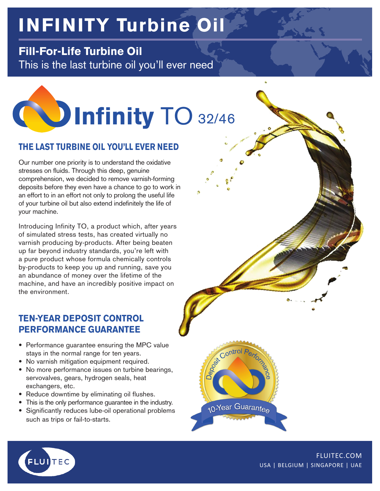# **INFINITY Turbine Oil**

# **Fill-For-Life Turbine Oil**

This is the last turbine oil you'll ever need



## **THE LAST TURBINE OIL YOU'LL EVER NEED**

Our number one priority is to understand the oxidative stresses on fluids. Through this deep, genuine comprehension, we decided to remove varnish-forming deposits before they even have a chance to go to work in an effort to in an effort not only to prolong the useful life of your turbine oil but also extend indefinitely the life of your machine.

Introducing Infinity TO, a product which, after years of simulated stress tests, has created virtually no varnish producing by-products. After being beaten up far beyond industry standards, you're left with a pure product whose formula chemically controls by-products to keep you up and running, save you an abundance of money over the lifetime of the machine, and have an incredibly positive impact on the environment.

## **TEN-YEAR DEPOSIT CONTROL PERFORMANCE GUARANTEE**

- Performance guarantee ensuring the MPC value stays in the normal range for ten years.
- No varnish mitigation equipment required.
- No more performance issues on turbine bearings, servovalves, gears, hydrogen seals, heat exchangers, etc.
- Reduce downtime by eliminating oil flushes.
- This is the only performance guarantee in the industry.
- Significantly reduces lube-oil operational problems such as trips or fail-to-starts.

10-Year Guarantee



FLUITEC.COM USA | BELGIUM | SINGAPORE | UAE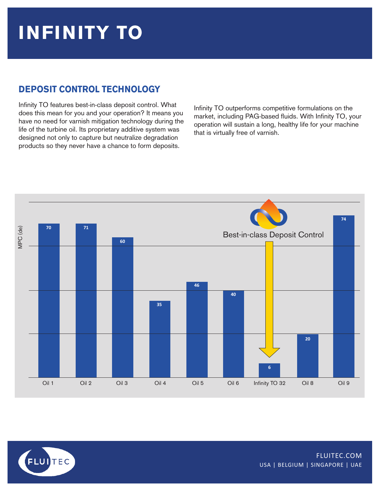# **INFINITY TO**

# **DEPOSIT CONTROL TECHNOLOGY**

Infinity TO features best-in-class deposit control. What does this mean for you and your operation? It means you have no need for varnish mitigation technology during the life of the turbine oil. Its proprietary additive system was designed not only to capture but neutralize degradation products so they never have a chance to form deposits.

Infinity TO outperforms competitive formulations on the market, including PAG-based fluids. With Infinity TO, your operation will sustain a long, healthy life for your machine that is virtually free of varnish.



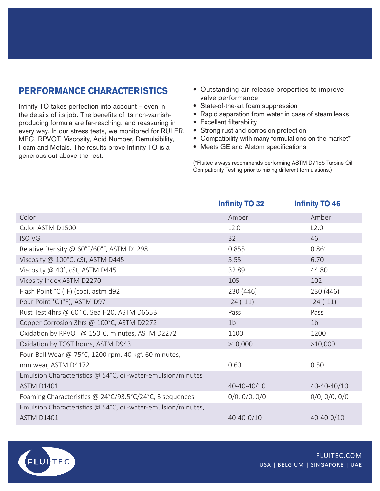### **PERFORMANCE CHARACTERISTICS**

Infinity TO takes perfection into account – even in the details of its job. The benefits of its non-varnishproducing formula are far-reaching, and reassuring in every way. In our stress tests, we monitored for RULER, MPC, RPVOT, Viscosity, Acid Number, Demulsibility, Foam and Metals. The results prove Infinity TO is a generous cut above the rest.

- Outstanding air release properties to improve valve performance
- State-of-the-art foam suppression
- Rapid separation from water in case of steam leaks
- Excellent filterability
- Strong rust and corrosion protection
- Compatibility with many formulations on the market\*
- Meets GE and Alstom specifications

(\*Fluitec always recommends performing ASTM D7155 Turbine Oil Compatibility Testing prior to mixing different formulations.)

|                                                              | <b>Infinity TO 32</b> | <b>Infinity TO 46</b> |
|--------------------------------------------------------------|-----------------------|-----------------------|
| Color                                                        | Amber                 | Amber                 |
| Color ASTM D1500                                             | L2.0                  | L2.0                  |
| <b>ISO VG</b>                                                | 32                    | 46                    |
| Relative Density @ 60°F/60°F, ASTM D1298                     | 0.855                 | 0.861                 |
| Viscosity @ 100°C, cSt, ASTM D445                            | 5.55                  | 6.70                  |
| Viscosity @ 40°, cSt, ASTM D445                              | 32.89                 | 44.80                 |
| Vicosity Index ASTM D2270                                    | 105                   | 102                   |
| Flash Point °C (°F) (coc), astm d92                          | 230 (446)             | 230 (446)             |
| Pour Point °C (°F), ASTM D97                                 | $-24(-11)$            | $-24(-11)$            |
| Rust Test 4hrs @ 60° C, Sea H20, ASTM D665B                  | Pass                  | Pass                  |
| Copper Corrosion 3hrs @ 100°C, ASTM D2272                    | 1 <sub>b</sub>        | 1 <sub>b</sub>        |
| Oxidation by RPVOT @ 150°C, minutes, ASTM D2272              | 1100                  | 1200                  |
| Oxidation by TOST hours, ASTM D943                           | >10,000               | >10,000               |
| Four-Ball Wear @ 75°C, 1200 rpm, 40 kgf, 60 minutes,         |                       |                       |
| mm wear, ASTM D4172                                          | 0.60                  | 0.50                  |
| Emulsion Characteristics @ 54°C, oil-water-emulsion/minutes  |                       |                       |
| <b>ASTM D1401</b>                                            | 40-40-40/10           | 40-40-40/10           |
| Foaming Characteristics @ 24°C/93.5°C/24°C, 3 sequences      | 0/0, 0/0, 0/0         | $0/0$ , $0/0$ , $0/0$ |
| Emulsion Characteristics @ 54°C, oil-water-emulsion/minutes, |                       |                       |
| <b>ASTM D1401</b>                                            | 40-40-0/10            | 40-40-0/10            |